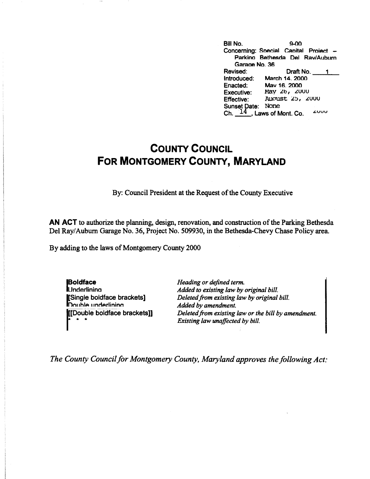| Bill No.            | ഹേ                                    |
|---------------------|---------------------------------------|
|                     | Concerning: Special Capital Project - |
|                     | Parking Bethesda Del Rav/Auburn       |
| Garage No. 36       |                                       |
| Revised:            | Draft No.                             |
| Introduced:         | March 14, 2000                        |
| Enacted:            | May 16, 2000                          |
| Executive:          | May 26, 2000                          |
| <b>Effective:</b>   | August 25, 2000                       |
| <b>Sunset Date:</b> | None                                  |
|                     | Ch. $14$ , Laws of Mont. Co.<br>zuuu  |

## **COUNTY COUNCIL FOR MONTGOMERY COUNTY, MARYLAND**

By: Council President at the Request of the County Executive

**AN ACT** to authorize the planning, design, renovation, and construction of the Parking Bethesda Del Ray/ Auburn Garage No. 36, Project No. 509930, in the Bethesda-Chevy Chase Policy area.

By adding to the laws of Montgomery County 2000

**I Boldface IUnderlining** [Single boldface brackets]<br>Double underlining **nn11hlA** I **1nrlArlininn**  |<br>|Double<br>|Double<br>|Pingle<br>|Pingle<br>|Pingle [[Double boldface brackets]] *Heading or defined term. Added to existing law by original bill. Deleted from existing law by original bill. Added by amendment. Deleted from existing law or the bill by amendment. Existing law unaffected by bill .* 

*The County Council for Montgomery County, Maryland approves the following Act:*